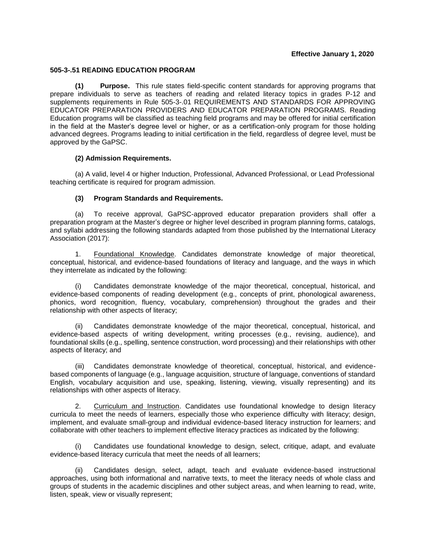## **Effective January 1, 2020**

## **505-3-.51 READING EDUCATION PROGRAM**

**(1) Purpose.** This rule states field-specific content standards for approving programs that prepare individuals to serve as teachers of reading and related literacy topics in grades P-12 and supplements requirements in Rule 505-3-.01 REQUIREMENTS AND STANDARDS FOR APPROVING EDUCATOR PREPARATION PROVIDERS AND EDUCATOR PREPARATION PROGRAMS. Reading Education programs will be classified as teaching field programs and may be offered for initial certification in the field at the Master's degree level or higher, or as a certification-only program for those holding advanced degrees. Programs leading to initial certification in the field, regardless of degree level, must be approved by the GaPSC.

## **(2) Admission Requirements.**

(a) A valid, level 4 or higher Induction, Professional, Advanced Professional, or Lead Professional teaching certificate is required for program admission.

## **(3) Program Standards and Requirements.**

(a) To receive approval, GaPSC-approved educator preparation providers shall offer a preparation program at the Master's degree or higher level described in program planning forms, catalogs, and syllabi addressing the following standards adapted from those published by the International Literacy Association (2017):

1. Foundational Knowledge. Candidates demonstrate knowledge of major theoretical, conceptual, historical, and evidence-based foundations of literacy and language, and the ways in which they interrelate as indicated by the following:

(i) Candidates demonstrate knowledge of the major theoretical, conceptual, historical, and evidence-based components of reading development (e.g., concepts of print, phonological awareness, phonics, word recognition, fluency, vocabulary, comprehension) throughout the grades and their relationship with other aspects of literacy;

(ii) Candidates demonstrate knowledge of the major theoretical, conceptual, historical, and evidence-based aspects of writing development, writing processes (e.g., revising, audience), and foundational skills (e.g., spelling, sentence construction, word processing) and their relationships with other aspects of literacy; and

(iii) Candidates demonstrate knowledge of theoretical, conceptual, historical, and evidencebased components of language (e.g., language acquisition, structure of language, conventions of standard English, vocabulary acquisition and use, speaking, listening, viewing, visually representing) and its relationships with other aspects of literacy.

2. Curriculum and Instruction. Candidates use foundational knowledge to design literacy curricula to meet the needs of learners, especially those who experience difficulty with literacy; design, implement, and evaluate small-group and individual evidence-based literacy instruction for learners; and collaborate with other teachers to implement effective literacy practices as indicated by the following:

(i) Candidates use foundational knowledge to design, select, critique, adapt, and evaluate evidence-based literacy curricula that meet the needs of all learners;

(ii) Candidates design, select, adapt, teach and evaluate evidence-based instructional approaches, using both informational and narrative texts, to meet the literacy needs of whole class and groups of students in the academic disciplines and other subject areas, and when learning to read, write, listen, speak, view or visually represent;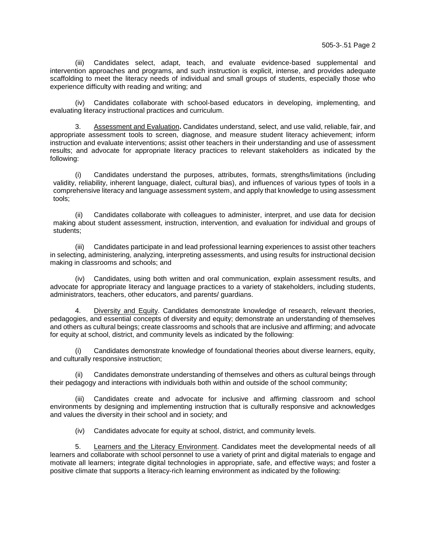(iii) Candidates select, adapt, teach, and evaluate evidence-based supplemental and intervention approaches and programs, and such instruction is explicit, intense, and provides adequate scaffolding to meet the literacy needs of individual and small groups of students, especially those who experience difficulty with reading and writing; and

(iv) Candidates collaborate with school-based educators in developing, implementing, and evaluating literacy instructional practices and curriculum.

3. Assessment and Evaluation**.** Candidates understand, select, and use valid, reliable, fair, and appropriate assessment tools to screen, diagnose, and measure student literacy achievement; inform instruction and evaluate interventions; assist other teachers in their understanding and use of assessment results; and advocate for appropriate literacy practices to relevant stakeholders as indicated by the following:

(i) Candidates understand the purposes, attributes, formats, strengths/limitations (including validity, reliability, inherent language, dialect, cultural bias), and influences of various types of tools in a comprehensive literacy and language assessment system, and apply that knowledge to using assessment tools;

(ii) Candidates collaborate with colleagues to administer, interpret, and use data for decision making about student assessment, instruction, intervention, and evaluation for individual and groups of students;

(iii) Candidates participate in and lead professional learning experiences to assist other teachers in selecting, administering, analyzing, interpreting assessments, and using results for instructional decision making in classrooms and schools; and

(iv) Candidates, using both written and oral communication, explain assessment results, and advocate for appropriate literacy and language practices to a variety of stakeholders, including students, administrators, teachers, other educators, and parents/ guardians.

4. Diversity and Equity. Candidates demonstrate knowledge of research, relevant theories, pedagogies, and essential concepts of diversity and equity; demonstrate an understanding of themselves and others as cultural beings; create classrooms and schools that are inclusive and affirming; and advocate for equity at school, district, and community levels as indicated by the following:

Candidates demonstrate knowledge of foundational theories about diverse learners, equity, and culturally responsive instruction;

(ii) Candidates demonstrate understanding of themselves and others as cultural beings through their pedagogy and interactions with individuals both within and outside of the school community;

(iii) Candidates create and advocate for inclusive and affirming classroom and school environments by designing and implementing instruction that is culturally responsive and acknowledges and values the diversity in their school and in society; and

(iv) Candidates advocate for equity at school, district, and community levels.

5. Learners and the Literacy Environment. Candidates meet the developmental needs of all learners and collaborate with school personnel to use a variety of print and digital materials to engage and motivate all learners; integrate digital technologies in appropriate, safe, and effective ways; and foster a positive climate that supports a literacy-rich learning environment as indicated by the following: